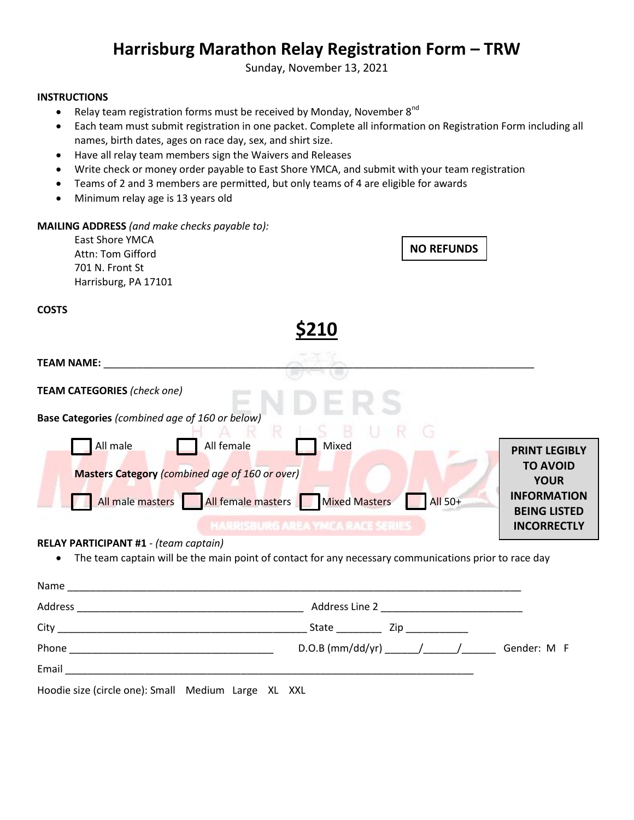## **Harrisburg Marathon Relay Registration Form – TRW**

Sunday, November 13, 2021

## **INSTRUCTIONS**

- Relay team registration forms must be received by Monday, November  $8^{nd}$
- Each team must submit registration in one packet. Complete all information on Registration Form including all names, birth dates, ages on race day, sex, and shirt size.
- Have all relay team members sign the Waivers and Releases
- Write check or money order payable to East Shore YMCA, and submit with your team registration
- Teams of 2 and 3 members are permitted, but only teams of 4 are eligible for awards
- Minimum relay age is 13 years old

| <b>MAILING ADDRESS</b> (and make checks payable to):                                                           |                                                                                                       |
|----------------------------------------------------------------------------------------------------------------|-------------------------------------------------------------------------------------------------------|
| <b>East Shore YMCA</b><br>Attn: Tom Gifford                                                                    | <b>NO REFUNDS</b>                                                                                     |
| 701 N. Front St                                                                                                |                                                                                                       |
| Harrisburg, PA 17101                                                                                           |                                                                                                       |
| <b>COSTS</b>                                                                                                   |                                                                                                       |
|                                                                                                                | <b>\$210</b>                                                                                          |
| <b>TEAM NAME:</b> TEAM NAME                                                                                    |                                                                                                       |
| <b>TEAM CATEGORIES (check one)</b>                                                                             |                                                                                                       |
| Base Categories (combined age of 160 or below)<br>R                                                            |                                                                                                       |
| All male<br>All female                                                                                         | Mixed<br><b>PRINT LEGIBLY</b>                                                                         |
| Masters Category (combined age of 160 or over)                                                                 | <b>TO AVOID</b><br><b>YOUR</b>                                                                        |
| All male masters   All female masters   Mixed Masters                                                          | <b>INFORMATION</b><br><b>All 50+</b><br><b>BEING LISTED</b>                                           |
|                                                                                                                | <b>MARRISBURG AREA YMCA RACE SERIES</b><br><b>INCORRECTLY</b>                                         |
| RELAY PARTICIPANT #1 - (team captain)                                                                          |                                                                                                       |
|                                                                                                                | The team captain will be the main point of contact for any necessary communications prior to race day |
|                                                                                                                |                                                                                                       |
|                                                                                                                |                                                                                                       |
|                                                                                                                |                                                                                                       |
|                                                                                                                | Gender: M F                                                                                           |
| Email 2008 - 2008 - 2008 - 2008 - 2019 - 2019 - 2019 - 2019 - 2019 - 2019 - 2019 - 2019 - 2019 - 2019 - 2019 - |                                                                                                       |

Hoodie size (circle one): Small Medium Large XL XXL